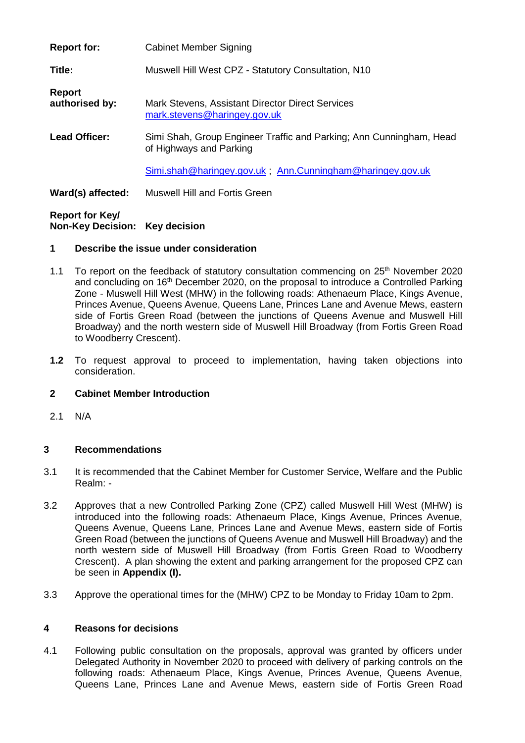| <b>Report for:</b>              | <b>Cabinet Member Signing</b>                                                                  |
|---------------------------------|------------------------------------------------------------------------------------------------|
| Title:                          | Muswell Hill West CPZ - Statutory Consultation, N10                                            |
| <b>Report</b><br>authorised by: | Mark Stevens, Assistant Director Direct Services<br>mark.stevens@haringey.gov.uk               |
| <b>Lead Officer:</b>            | Simi Shah, Group Engineer Traffic and Parking; Ann Cunningham, Head<br>of Highways and Parking |
|                                 | Simi.shah@haringey.gov.uk; Ann.Cunningham@haringey.gov.uk                                      |
| Ward(s) affected:               | <b>Muswell Hill and Fortis Green</b>                                                           |

### **Report for Key/ Non-Key Decision: Key decision**

#### **1 Describe the issue under consideration**

- 1.1 To report on the feedback of statutory consultation commencing on 25<sup>th</sup> November 2020 and concluding on 16<sup>th</sup> December 2020, on the proposal to introduce a Controlled Parking Zone - Muswell Hill West (MHW) in the following roads: Athenaeum Place, Kings Avenue, Princes Avenue, Queens Avenue, Queens Lane, Princes Lane and Avenue Mews, eastern side of Fortis Green Road (between the junctions of Queens Avenue and Muswell Hill Broadway) and the north western side of Muswell Hill Broadway (from Fortis Green Road to Woodberry Crescent).
- **1.2** To request approval to proceed to implementation, having taken objections into consideration.

### **2 Cabinet Member Introduction**

2.1 N/A

### **3 Recommendations**

- 3.1 It is recommended that the Cabinet Member for Customer Service, Welfare and the Public Realm: -
- 3.2 Approves that a new Controlled Parking Zone (CPZ) called Muswell Hill West (MHW) is introduced into the following roads: Athenaeum Place, Kings Avenue, Princes Avenue, Queens Avenue, Queens Lane, Princes Lane and Avenue Mews, eastern side of Fortis Green Road (between the junctions of Queens Avenue and Muswell Hill Broadway) and the north western side of Muswell Hill Broadway (from Fortis Green Road to Woodberry Crescent). A plan showing the extent and parking arrangement for the proposed CPZ can be seen in **Appendix (I).**
- 3.3 Approve the operational times for the (MHW) CPZ to be Monday to Friday 10am to 2pm.

#### **4 Reasons for decisions**

4.1 Following public consultation on the proposals, approval was granted by officers under Delegated Authority in November 2020 to proceed with delivery of parking controls on the following roads: Athenaeum Place, Kings Avenue, Princes Avenue, Queens Avenue, Queens Lane, Princes Lane and Avenue Mews, eastern side of Fortis Green Road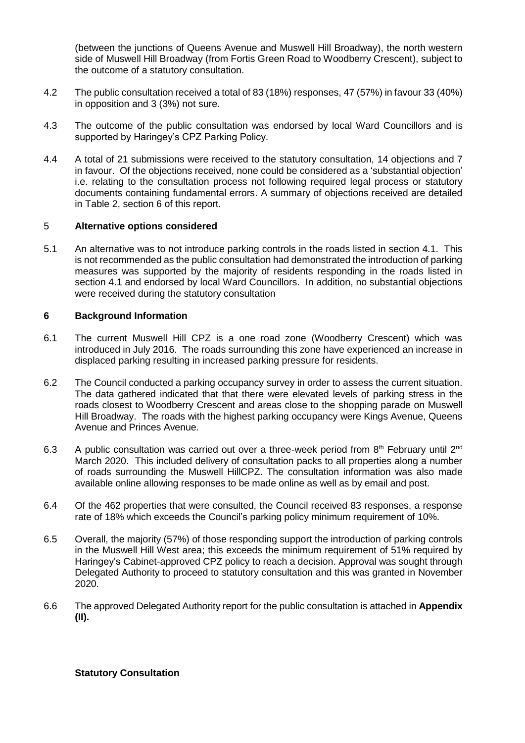(between the junctions of Queens Avenue and Muswell Hill Broadway), the north western side of Muswell Hill Broadway (from Fortis Green Road to Woodberry Crescent), subject to the outcome of a statutory consultation.

- 4.2 The public consultation received a total of 83 (18%) responses, 47 (57%) in favour 33 (40%) in opposition and 3 (3%) not sure.
- 4.3 The outcome of the public consultation was endorsed by local Ward Councillors and is supported by Haringey's CPZ Parking Policy.
- 4.4 A total of 21 submissions were received to the statutory consultation, 14 objections and 7 in favour. Of the objections received, none could be considered as a 'substantial objection' i.e. relating to the consultation process not following required legal process or statutory documents containing fundamental errors. A summary of objections received are detailed in Table 2, section 6 of this report.

#### 5 **Alternative options considered**

5.1 An alternative was to not introduce parking controls in the roads listed in section 4.1. This is not recommended as the public consultation had demonstrated the introduction of parking measures was supported by the majority of residents responding in the roads listed in section 4.1 and endorsed by local Ward Councillors. In addition, no substantial objections were received during the statutory consultation

### **6 Background Information**

- 6.1 The current Muswell Hill CPZ is a one road zone (Woodberry Crescent) which was introduced in July 2016. The roads surrounding this zone have experienced an increase in displaced parking resulting in increased parking pressure for residents.
- 6.2 The Council conducted a parking occupancy survey in order to assess the current situation. The data gathered indicated that that there were elevated levels of parking stress in the roads closest to Woodberry Crescent and areas close to the shopping parade on Muswell Hill Broadway. The roads with the highest parking occupancy were Kings Avenue, Queens Avenue and Princes Avenue.
- 6.3 A public consultation was carried out over a three-week period from  $8<sup>th</sup>$  February until  $2<sup>nd</sup>$ March 2020. This included delivery of consultation packs to all properties along a number of roads surrounding the Muswell HillCPZ. The consultation information was also made available online allowing responses to be made online as well as by email and post.
- 6.4 Of the 462 properties that were consulted, the Council received 83 responses, a response rate of 18% which exceeds the Council's parking policy minimum requirement of 10%.
- 6.5 Overall, the majority (57%) of those responding support the introduction of parking controls in the Muswell Hill West area; this exceeds the minimum requirement of 51% required by Haringey's Cabinet-approved CPZ policy to reach a decision. Approval was sought through Delegated Authority to proceed to statutory consultation and this was granted in November 2020.
- 6.6 The approved Delegated Authority report for the public consultation is attached in **Appendix (II).**

#### **Statutory Consultation**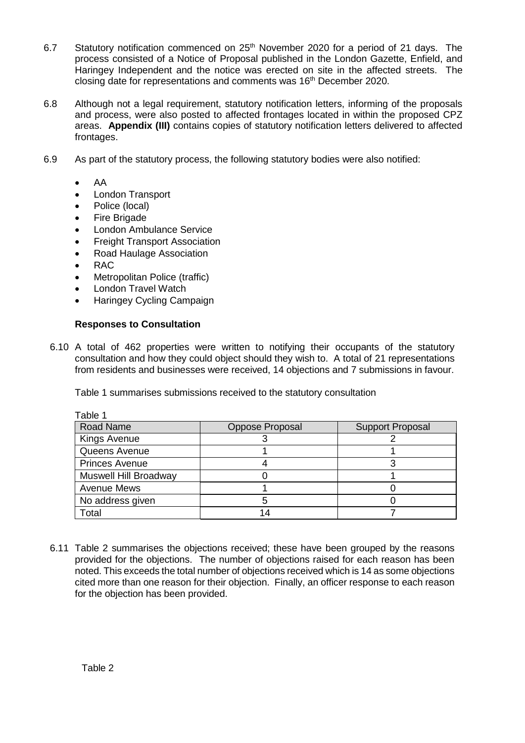- 6.7 Statutory notification commenced on 25th November 2020 for a period of 21 days. The process consisted of a Notice of Proposal published in the London Gazette, Enfield, and Haringey Independent and the notice was erected on site in the affected streets. The closing date for representations and comments was 16<sup>th</sup> December 2020.
- 6.8 Although not a legal requirement, statutory notification letters, informing of the proposals and process, were also posted to affected frontages located in within the proposed CPZ areas. **Appendix (III)** contains copies of statutory notification letters delivered to affected frontages.
- 6.9 As part of the statutory process, the following statutory bodies were also notified:
	- AA
	- London Transport
	- Police (local)
	- Fire Brigade
	- London Ambulance Service
	- Freight Transport Association
	- Road Haulage Association
	- RAC
	- Metropolitan Police (traffic)
	- London Travel Watch
	- Haringey Cycling Campaign

### **Responses to Consultation**

6.10 A total of 462 properties were written to notifying their occupants of the statutory consultation and how they could object should they wish to. A total of 21 representations from residents and businesses were received, 14 objections and 7 submissions in favour.

| Table 1               |                 |                         |
|-----------------------|-----------------|-------------------------|
| <b>Road Name</b>      | Oppose Proposal | <b>Support Proposal</b> |
| Kings Avenue          |                 |                         |
| Queens Avenue         |                 |                         |
| <b>Princes Avenue</b> |                 |                         |
| Muswell Hill Broadway |                 |                         |
| <b>Avenue Mews</b>    |                 |                         |
| No address given      |                 |                         |
| Total                 |                 |                         |

Table 1 summarises submissions received to the statutory consultation

6.11 Table 2 summarises the objections received; these have been grouped by the reasons provided for the objections. The number of objections raised for each reason has been noted. This exceeds the total number of objections received which is 14 as some objections cited more than one reason for their objection. Finally, an officer response to each reason for the objection has been provided.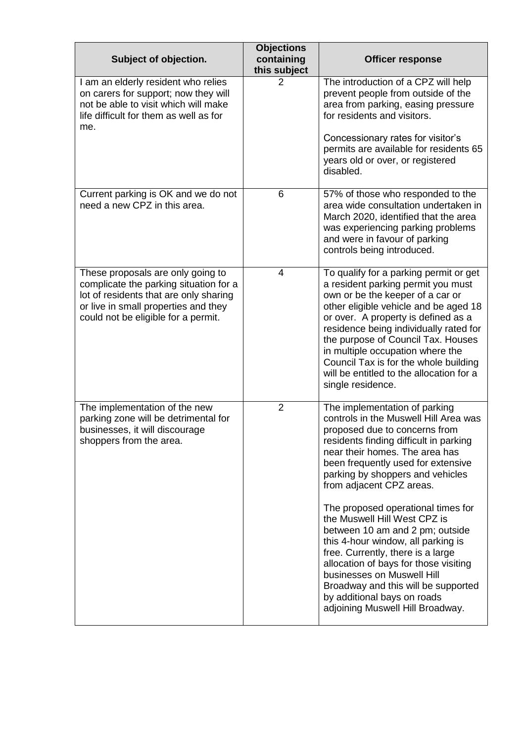| Subject of objection.                                                                                                                                                                                | <b>Objections</b><br>containing<br>this subject | <b>Officer response</b>                                                                                                                                                                                                                                                                                                                                                                                                                                                                                                                                                                                                                                        |
|------------------------------------------------------------------------------------------------------------------------------------------------------------------------------------------------------|-------------------------------------------------|----------------------------------------------------------------------------------------------------------------------------------------------------------------------------------------------------------------------------------------------------------------------------------------------------------------------------------------------------------------------------------------------------------------------------------------------------------------------------------------------------------------------------------------------------------------------------------------------------------------------------------------------------------------|
| I am an elderly resident who relies<br>on carers for support; now they will<br>not be able to visit which will make<br>life difficult for them as well as for<br>me.                                 | 2                                               | The introduction of a CPZ will help<br>prevent people from outside of the<br>area from parking, easing pressure<br>for residents and visitors.<br>Concessionary rates for visitor's<br>permits are available for residents 65<br>years old or over, or registered<br>disabled.                                                                                                                                                                                                                                                                                                                                                                                 |
| Current parking is OK and we do not<br>need a new CPZ in this area.                                                                                                                                  | 6                                               | 57% of those who responded to the<br>area wide consultation undertaken in<br>March 2020, identified that the area<br>was experiencing parking problems<br>and were in favour of parking<br>controls being introduced.                                                                                                                                                                                                                                                                                                                                                                                                                                          |
| These proposals are only going to<br>complicate the parking situation for a<br>lot of residents that are only sharing<br>or live in small properties and they<br>could not be eligible for a permit. | 4                                               | To qualify for a parking permit or get<br>a resident parking permit you must<br>own or be the keeper of a car or<br>other eligible vehicle and be aged 18<br>or over. A property is defined as a<br>residence being individually rated for<br>the purpose of Council Tax. Houses<br>in multiple occupation where the<br>Council Tax is for the whole building<br>will be entitled to the allocation for a<br>single residence.                                                                                                                                                                                                                                 |
| The implementation of the new<br>parking zone will be detrimental for<br>businesses, it will discourage<br>shoppers from the area.                                                                   | $\overline{2}$                                  | The implementation of parking<br>controls in the Muswell Hill Area was<br>proposed due to concerns from<br>residents finding difficult in parking<br>near their homes. The area has<br>been frequently used for extensive<br>parking by shoppers and vehicles<br>from adjacent CPZ areas.<br>The proposed operational times for<br>the Muswell Hill West CPZ is<br>between 10 am and 2 pm; outside<br>this 4-hour window, all parking is<br>free. Currently, there is a large<br>allocation of bays for those visiting<br>businesses on Muswell Hill<br>Broadway and this will be supported<br>by additional bays on roads<br>adjoining Muswell Hill Broadway. |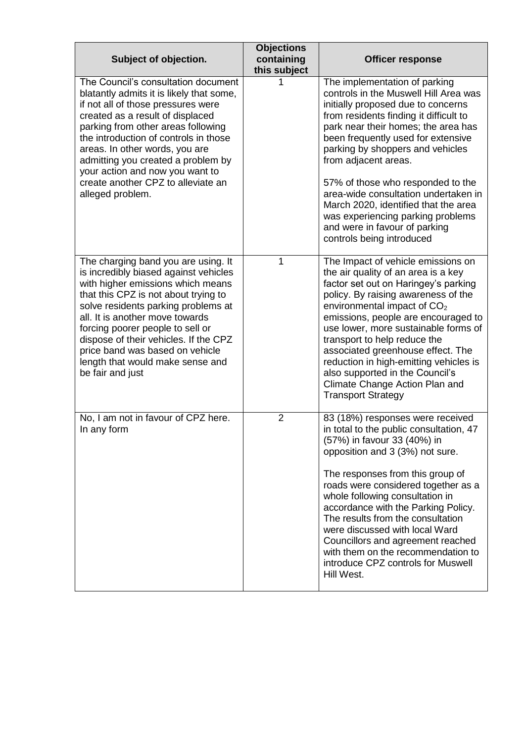| Subject of objection.                                                                                                                                                                                                                                                                                                                                                                                         | <b>Objections</b><br>containing<br>this subject | <b>Officer response</b>                                                                                                                                                                                                                                                                                                                                                                                                                                                                                                 |
|---------------------------------------------------------------------------------------------------------------------------------------------------------------------------------------------------------------------------------------------------------------------------------------------------------------------------------------------------------------------------------------------------------------|-------------------------------------------------|-------------------------------------------------------------------------------------------------------------------------------------------------------------------------------------------------------------------------------------------------------------------------------------------------------------------------------------------------------------------------------------------------------------------------------------------------------------------------------------------------------------------------|
| The Council's consultation document<br>blatantly admits it is likely that some,<br>if not all of those pressures were<br>created as a result of displaced<br>parking from other areas following<br>the introduction of controls in those<br>areas. In other words, you are<br>admitting you created a problem by<br>your action and now you want to<br>create another CPZ to alleviate an<br>alleged problem. |                                                 | The implementation of parking<br>controls in the Muswell Hill Area was<br>initially proposed due to concerns<br>from residents finding it difficult to<br>park near their homes; the area has<br>been frequently used for extensive<br>parking by shoppers and vehicles<br>from adjacent areas.<br>57% of those who responded to the<br>area-wide consultation undertaken in<br>March 2020, identified that the area<br>was experiencing parking problems<br>and were in favour of parking<br>controls being introduced |
| The charging band you are using. It<br>is incredibly biased against vehicles<br>with higher emissions which means<br>that this CPZ is not about trying to<br>solve residents parking problems at<br>all. It is another move towards<br>forcing poorer people to sell or<br>dispose of their vehicles. If the CPZ<br>price band was based on vehicle<br>length that would make sense and<br>be fair and just   | 1                                               | The Impact of vehicle emissions on<br>the air quality of an area is a key<br>factor set out on Haringey's parking<br>policy. By raising awareness of the<br>environmental impact of $CO2$<br>emissions, people are encouraged to<br>use lower, more sustainable forms of<br>transport to help reduce the<br>associated greenhouse effect. The<br>reduction in high-emitting vehicles is<br>also supported in the Council's<br>Climate Change Action Plan and<br><b>Transport Strategy</b>                               |
| No, I am not in favour of CPZ here.<br>In any form                                                                                                                                                                                                                                                                                                                                                            | $\overline{2}$                                  | 83 (18%) responses were received<br>in total to the public consultation, 47<br>(57%) in favour 33 (40%) in<br>opposition and 3 (3%) not sure.<br>The responses from this group of<br>roads were considered together as a<br>whole following consultation in<br>accordance with the Parking Policy.<br>The results from the consultation<br>were discussed with local Ward<br>Councillors and agreement reached<br>with them on the recommendation to<br>introduce CPZ controls for Muswell<br>Hill West.                |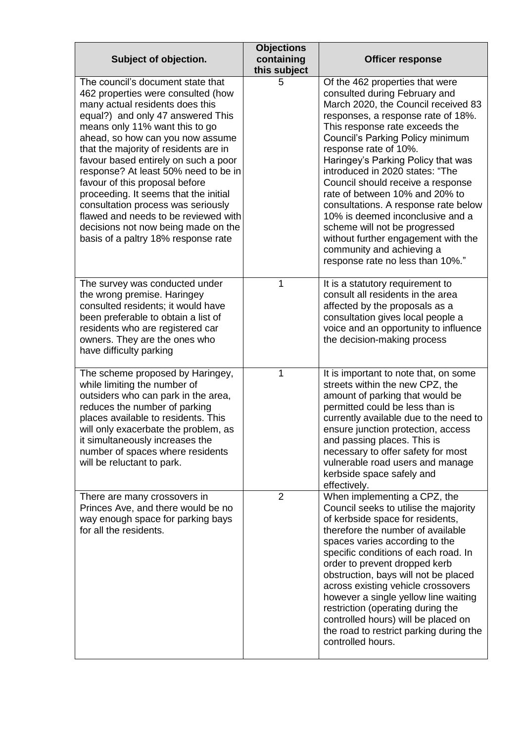| Subject of objection.                                                                                                                                                                                                                                                                                                                                                                                                                                                                                                                                                                 | <b>Objections</b><br>containing<br>this subject | <b>Officer response</b>                                                                                                                                                                                                                                                                                                                                                                                                                                                                                                                                                                                           |
|---------------------------------------------------------------------------------------------------------------------------------------------------------------------------------------------------------------------------------------------------------------------------------------------------------------------------------------------------------------------------------------------------------------------------------------------------------------------------------------------------------------------------------------------------------------------------------------|-------------------------------------------------|-------------------------------------------------------------------------------------------------------------------------------------------------------------------------------------------------------------------------------------------------------------------------------------------------------------------------------------------------------------------------------------------------------------------------------------------------------------------------------------------------------------------------------------------------------------------------------------------------------------------|
| The council's document state that<br>462 properties were consulted (how<br>many actual residents does this<br>equal?) and only 47 answered This<br>means only 11% want this to go<br>ahead, so how can you now assume<br>that the majority of residents are in<br>favour based entirely on such a poor<br>response? At least 50% need to be in<br>favour of this proposal before<br>proceeding. It seems that the initial<br>consultation process was seriously<br>flawed and needs to be reviewed with<br>decisions not now being made on the<br>basis of a paltry 18% response rate | 5                                               | Of the 462 properties that were<br>consulted during February and<br>March 2020, the Council received 83<br>responses, a response rate of 18%.<br>This response rate exceeds the<br>Council's Parking Policy minimum<br>response rate of 10%.<br>Haringey's Parking Policy that was<br>introduced in 2020 states: "The<br>Council should receive a response<br>rate of between 10% and 20% to<br>consultations. A response rate below<br>10% is deemed inconclusive and a<br>scheme will not be progressed<br>without further engagement with the<br>community and achieving a<br>response rate no less than 10%." |
| The survey was conducted under<br>the wrong premise. Haringey<br>consulted residents; it would have<br>been preferable to obtain a list of<br>residents who are registered car<br>owners. They are the ones who<br>have difficulty parking                                                                                                                                                                                                                                                                                                                                            | 1                                               | It is a statutory requirement to<br>consult all residents in the area<br>affected by the proposals as a<br>consultation gives local people a<br>voice and an opportunity to influence<br>the decision-making process                                                                                                                                                                                                                                                                                                                                                                                              |
| The scheme proposed by Haringey,<br>while limiting the number of<br>outsiders who can park in the area,<br>reduces the number of parking<br>places available to residents. This<br>will only exacerbate the problem, as<br>it simultaneously increases the<br>number of spaces where residents<br>will be reluctant to park.                                                                                                                                                                                                                                                          | 1                                               | It is important to note that, on some<br>streets within the new CPZ, the<br>amount of parking that would be<br>permitted could be less than is<br>currently available due to the need to<br>ensure junction protection, access<br>and passing places. This is<br>necessary to offer safety for most<br>vulnerable road users and manage<br>kerbside space safely and<br>effectively.                                                                                                                                                                                                                              |
| There are many crossovers in<br>Princes Ave, and there would be no<br>way enough space for parking bays<br>for all the residents.                                                                                                                                                                                                                                                                                                                                                                                                                                                     | $\overline{2}$                                  | When implementing a CPZ, the<br>Council seeks to utilise the majority<br>of kerbside space for residents,<br>therefore the number of available<br>spaces varies according to the<br>specific conditions of each road. In<br>order to prevent dropped kerb<br>obstruction, bays will not be placed<br>across existing vehicle crossovers<br>however a single yellow line waiting<br>restriction (operating during the<br>controlled hours) will be placed on<br>the road to restrict parking during the<br>controlled hours.                                                                                       |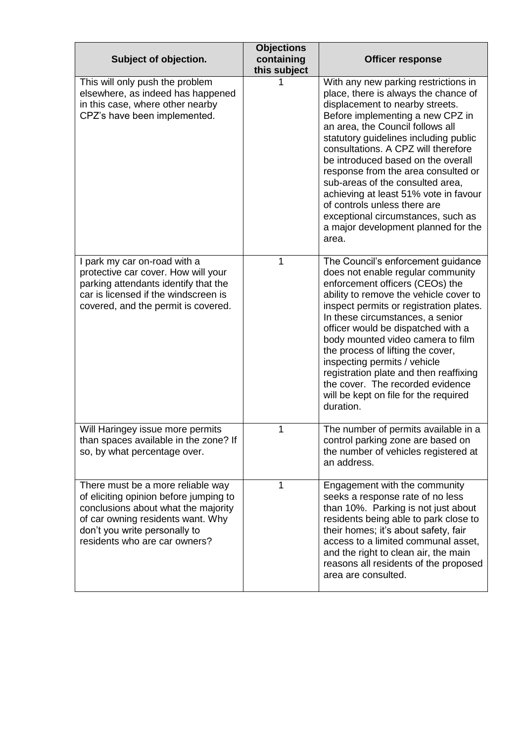| Subject of objection.                                                                                                                                                                                                     | <b>Objections</b><br>containing<br>this subject | <b>Officer response</b>                                                                                                                                                                                                                                                                                                                                                                                                                                                                                                                                 |
|---------------------------------------------------------------------------------------------------------------------------------------------------------------------------------------------------------------------------|-------------------------------------------------|---------------------------------------------------------------------------------------------------------------------------------------------------------------------------------------------------------------------------------------------------------------------------------------------------------------------------------------------------------------------------------------------------------------------------------------------------------------------------------------------------------------------------------------------------------|
| This will only push the problem<br>elsewhere, as indeed has happened<br>in this case, where other nearby<br>CPZ's have been implemented.                                                                                  |                                                 | With any new parking restrictions in<br>place, there is always the chance of<br>displacement to nearby streets.<br>Before implementing a new CPZ in<br>an area, the Council follows all<br>statutory guidelines including public<br>consultations. A CPZ will therefore<br>be introduced based on the overall<br>response from the area consulted or<br>sub-areas of the consulted area,<br>achieving at least 51% vote in favour<br>of controls unless there are<br>exceptional circumstances, such as<br>a major development planned for the<br>area. |
| I park my car on-road with a<br>protective car cover. How will your<br>parking attendants identify that the<br>car is licensed if the windscreen is<br>covered, and the permit is covered.                                | 1                                               | The Council's enforcement guidance<br>does not enable regular community<br>enforcement officers (CEOs) the<br>ability to remove the vehicle cover to<br>inspect permits or registration plates.<br>In these circumstances, a senior<br>officer would be dispatched with a<br>body mounted video camera to film<br>the process of lifting the cover,<br>inspecting permits / vehicle<br>registration plate and then reaffixing<br>the cover. The recorded evidence<br>will be kept on file for the required<br>duration.                                 |
| Will Haringey issue more permits<br>than spaces available in the zone? If<br>so, by what percentage over.                                                                                                                 | 1                                               | The number of permits available in a<br>control parking zone are based on<br>the number of vehicles registered at<br>an address.                                                                                                                                                                                                                                                                                                                                                                                                                        |
| There must be a more reliable way<br>of eliciting opinion before jumping to<br>conclusions about what the majority<br>of car owning residents want. Why<br>don't you write personally to<br>residents who are car owners? | 1                                               | Engagement with the community<br>seeks a response rate of no less<br>than 10%. Parking is not just about<br>residents being able to park close to<br>their homes; it's about safety, fair<br>access to a limited communal asset,<br>and the right to clean air, the main<br>reasons all residents of the proposed<br>area are consulted.                                                                                                                                                                                                                |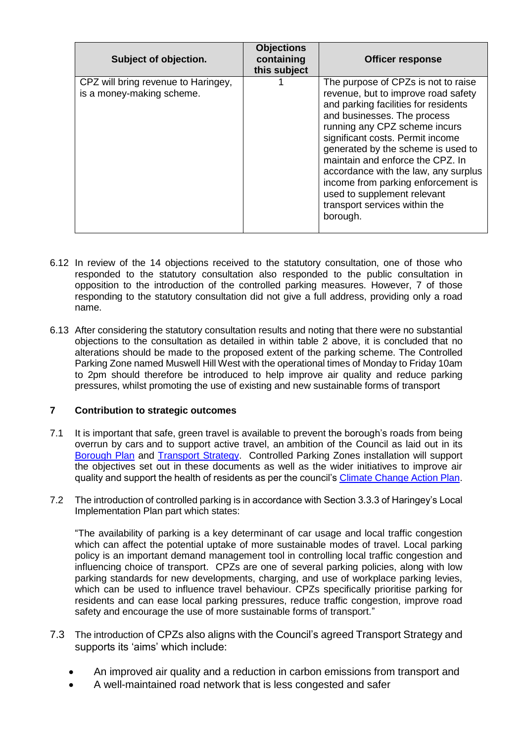| Subject of objection.                                            | <b>Objections</b><br>containing<br><b>Officer response</b><br>this subject                                                                                                                                                                                                                                                                                                                                                                                 |
|------------------------------------------------------------------|------------------------------------------------------------------------------------------------------------------------------------------------------------------------------------------------------------------------------------------------------------------------------------------------------------------------------------------------------------------------------------------------------------------------------------------------------------|
| CPZ will bring revenue to Haringey,<br>is a money-making scheme. | The purpose of CPZs is not to raise<br>revenue, but to improve road safety<br>and parking facilities for residents<br>and businesses. The process<br>running any CPZ scheme incurs<br>significant costs. Permit income<br>generated by the scheme is used to<br>maintain and enforce the CPZ. In<br>accordance with the law, any surplus<br>income from parking enforcement is<br>used to supplement relevant<br>transport services within the<br>borough. |

- 6.12 In review of the 14 objections received to the statutory consultation, one of those who responded to the statutory consultation also responded to the public consultation in opposition to the introduction of the controlled parking measures. However, 7 of those responding to the statutory consultation did not give a full address, providing only a road name.
- 6.13 After considering the statutory consultation results and noting that there were no substantial objections to the consultation as detailed in within table 2 above, it is concluded that no alterations should be made to the proposed extent of the parking scheme. The Controlled Parking Zone named Muswell Hill West with the operational times of Monday to Friday 10am to 2pm should therefore be introduced to help improve air quality and reduce parking pressures, whilst promoting the use of existing and new sustainable forms of transport

### **7 Contribution to strategic outcomes**

- 7.1 It is important that safe, green travel is available to prevent the borough's roads from being overrun by cars and to support active travel, an ambition of the Council as laid out in its [Borough Plan](https://www.haringey.gov.uk/local-democracy/policies-and-strategies/borough-plan) and [Transport Strategy.](https://www.haringey.gov.uk/parking-roads-and-travel/travel/haringeys-transport-strategy) Controlled Parking Zones installation will support the objectives set out in these documents as well as the wider initiatives to improve air quality and support the health of residents as per the council's [Climate Change Action Plan.](https://www.haringey.gov.uk/environment-and-waste/going-green/net-zero-carbon-haringey)
- 7.2 The introduction of controlled parking is in accordance with Section 3.3.3 of Haringey's Local Implementation Plan part which states:

"The availability of parking is a key determinant of car usage and local traffic congestion which can affect the potential uptake of more sustainable modes of travel. Local parking policy is an important demand management tool in controlling local traffic congestion and influencing choice of transport. CPZs are one of several parking policies, along with low parking standards for new developments, charging, and use of workplace parking levies, which can be used to influence travel behaviour. CPZs specifically prioritise parking for residents and can ease local parking pressures, reduce traffic congestion, improve road safety and encourage the use of more sustainable forms of transport."

- 7.3 The introduction of CPZs also aligns with the Council's agreed Transport Strategy and supports its 'aims' which include:
	- An improved air quality and a reduction in carbon emissions from transport and
	- A well-maintained road network that is less congested and safer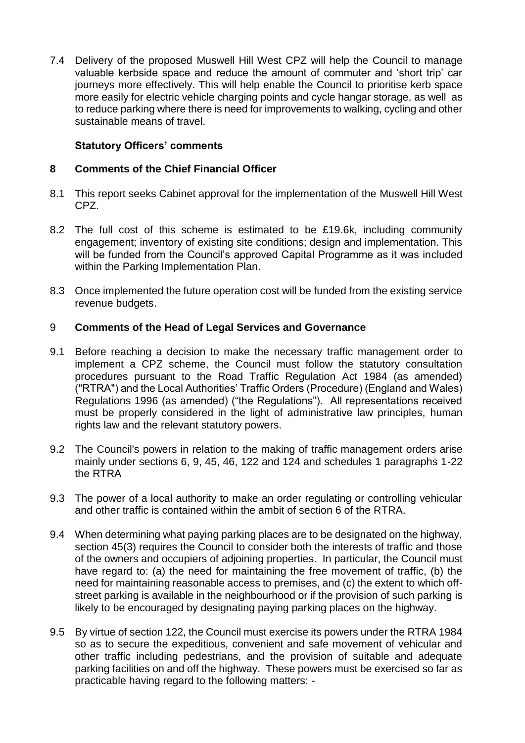7.4 Delivery of the proposed Muswell Hill West CPZ will help the Council to manage valuable kerbside space and reduce the amount of commuter and 'short trip' car journeys more effectively. This will help enable the Council to prioritise kerb space more easily for electric vehicle charging points and cycle hangar storage, as well as to reduce parking where there is need for improvements to walking, cycling and other sustainable means of travel.

# **Statutory Officers' comments**

## **8 Comments of the Chief Financial Officer**

- 8.1 This report seeks Cabinet approval for the implementation of the Muswell Hill West CPZ.
- 8.2 The full cost of this scheme is estimated to be £19.6k, including community engagement; inventory of existing site conditions; design and implementation. This will be funded from the Council's approved Capital Programme as it was included within the Parking Implementation Plan.
- 8.3 Once implemented the future operation cost will be funded from the existing service revenue budgets.

## 9 **Comments of the Head of Legal Services and Governance**

- 9.1 Before reaching a decision to make the necessary traffic management order to implement a CPZ scheme, the Council must follow the statutory consultation procedures pursuant to the Road Traffic Regulation Act 1984 (as amended) ("RTRA") and the Local Authorities' Traffic Orders (Procedure) (England and Wales) Regulations 1996 (as amended) ("the Regulations"). All representations received must be properly considered in the light of administrative law principles, human rights law and the relevant statutory powers.
- 9.2 The Council's powers in relation to the making of traffic management orders arise mainly under sections 6, 9, 45, 46, 122 and 124 and schedules 1 paragraphs 1-22 the RTRA
- 9.3 The power of a local authority to make an order regulating or controlling vehicular and other traffic is contained within the ambit of section 6 of the RTRA.
- 9.4 When determining what paying parking places are to be designated on the highway, section 45(3) requires the Council to consider both the interests of traffic and those of the owners and occupiers of adjoining properties. In particular, the Council must have regard to: (a) the need for maintaining the free movement of traffic, (b) the need for maintaining reasonable access to premises, and (c) the extent to which offstreet parking is available in the neighbourhood or if the provision of such parking is likely to be encouraged by designating paying parking places on the highway.
- 9.5 By virtue of section 122, the Council must exercise its powers under the RTRA 1984 so as to secure the expeditious, convenient and safe movement of vehicular and other traffic including pedestrians, and the provision of suitable and adequate parking facilities on and off the highway. These powers must be exercised so far as practicable having regard to the following matters: -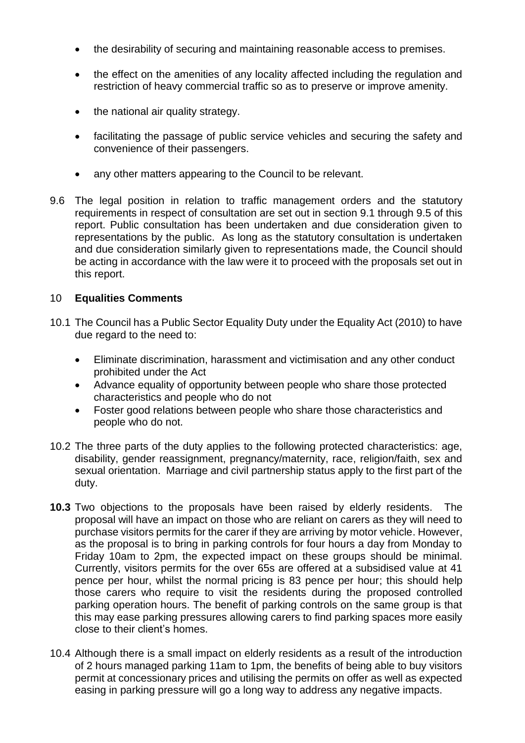- the desirability of securing and maintaining reasonable access to premises.
- the effect on the amenities of any locality affected including the regulation and restriction of heavy commercial traffic so as to preserve or improve amenity.
- the national air quality strategy.
- facilitating the passage of public service vehicles and securing the safety and convenience of their passengers.
- any other matters appearing to the Council to be relevant.
- 9.6 The legal position in relation to traffic management orders and the statutory requirements in respect of consultation are set out in section 9.1 through 9.5 of this report. Public consultation has been undertaken and due consideration given to representations by the public. As long as the statutory consultation is undertaken and due consideration similarly given to representations made, the Council should be acting in accordance with the law were it to proceed with the proposals set out in this report.

# 10 **Equalities Comments**

- 10.1 The Council has a Public Sector Equality Duty under the Equality Act (2010) to have due regard to the need to:
	- Eliminate discrimination, harassment and victimisation and any other conduct prohibited under the Act
	- Advance equality of opportunity between people who share those protected characteristics and people who do not
	- Foster good relations between people who share those characteristics and people who do not.
- 10.2 The three parts of the duty applies to the following protected characteristics: age, disability, gender reassignment, pregnancy/maternity, race, religion/faith, sex and sexual orientation. Marriage and civil partnership status apply to the first part of the duty.
- **10.3** Two objections to the proposals have been raised by elderly residents. The proposal will have an impact on those who are reliant on carers as they will need to purchase visitors permits for the carer if they are arriving by motor vehicle. However, as the proposal is to bring in parking controls for four hours a day from Monday to Friday 10am to 2pm, the expected impact on these groups should be minimal. Currently, visitors permits for the over 65s are offered at a subsidised value at 41 pence per hour, whilst the normal pricing is 83 pence per hour; this should help those carers who require to visit the residents during the proposed controlled parking operation hours. The benefit of parking controls on the same group is that this may ease parking pressures allowing carers to find parking spaces more easily close to their client's homes.
- 10.4 Although there is a small impact on elderly residents as a result of the introduction of 2 hours managed parking 11am to 1pm, the benefits of being able to buy visitors permit at concessionary prices and utilising the permits on offer as well as expected easing in parking pressure will go a long way to address any negative impacts.